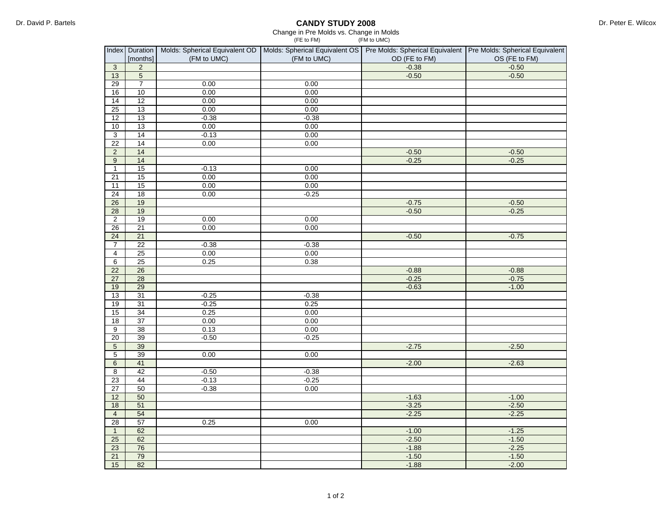## **CANDY STUDY 2008**

 Change in Pre Molds vs. Change in Molds (FE to FM) (FM to UMC)

|                      | Index Duration  | Molds: Spherical Equivalent OD   Molds: Spherical Equivalent OS   Pre Molds: Spherical Equivalent   Pre Molds: Spherical Equivalent |              |               |               |
|----------------------|-----------------|-------------------------------------------------------------------------------------------------------------------------------------|--------------|---------------|---------------|
|                      | [months]        | (FM to UMC)                                                                                                                         | (FM to UMC)  | OD (FE to FM) | OS (FE to FM) |
| $\overline{3}$       | $\overline{c}$  |                                                                                                                                     |              | $-0.38$       | $-0.50$       |
| 13                   | $\overline{5}$  |                                                                                                                                     |              | $-0.50$       | $-0.50$       |
| 29                   | 7               | 0.00                                                                                                                                | 0.00         |               |               |
| 16                   | 10              | 0.00                                                                                                                                | 0.00         |               |               |
| 14                   | 12              | 0.00                                                                                                                                | 0.00         |               |               |
| 25                   | 13              | 0.00                                                                                                                                | 0.00         |               |               |
| 12                   | 13              | $-0.38$                                                                                                                             | $-0.38$      |               |               |
| 10                   | 13              | 0.00                                                                                                                                | 0.00         |               |               |
| 3                    | 14              | $-0.13$                                                                                                                             | 0.00         |               |               |
| 22                   | 14              | 0.00                                                                                                                                | 0.00         |               |               |
| $\overline{2}$       | 14              |                                                                                                                                     |              | $-0.50$       | $-0.50$       |
| $\overline{9}$       | 14              |                                                                                                                                     |              | $-0.25$       | $-0.25$       |
| $\mathbf{1}$         | $\overline{15}$ | $-0.13$                                                                                                                             | 0.00         |               |               |
| 21                   | 15              | 0.00                                                                                                                                | 0.00         |               |               |
| 11                   | 15              | 0.00                                                                                                                                | 0.00         |               |               |
| 24                   | 18              | 0.00                                                                                                                                | $-0.25$      |               |               |
| 26                   | 19              |                                                                                                                                     |              | $-0.75$       | $-0.50$       |
| 28                   | 19              |                                                                                                                                     |              | $-0.50$       | $-0.25$       |
| $\overline{2}$<br>26 | 19<br>21        | 0.00<br>0.00                                                                                                                        | 0.00<br>0.00 |               |               |
| 24                   | 21              |                                                                                                                                     |              | $-0.50$       | $-0.75$       |
| $\overline{7}$       | $\overline{22}$ |                                                                                                                                     | $-0.38$      |               |               |
| $\overline{4}$       | 25              | $-0.38$<br>0.00                                                                                                                     | 0.00         |               |               |
| 6                    | 25              | 0.25                                                                                                                                | 0.38         |               |               |
| 22                   | 26              |                                                                                                                                     |              | $-0.88$       | $-0.88$       |
| 27                   | 28              |                                                                                                                                     |              | $-0.25$       | $-0.75$       |
| 19                   | 29              |                                                                                                                                     |              | $-0.63$       | $-1.00$       |
| 13                   | $\overline{31}$ | $-0.25$                                                                                                                             | $-0.38$      |               |               |
| 19                   | 31              | $-0.25$                                                                                                                             | 0.25         |               |               |
| 15                   | 34              | 0.25                                                                                                                                | 0.00         |               |               |
| 18                   | 37              | 0.00                                                                                                                                | 0.00         |               |               |
| 9                    | 38              | 0.13                                                                                                                                | 0.00         |               |               |
| 20                   | 39              | $-0.50$                                                                                                                             | $-0.25$      |               |               |
| $\sqrt{5}$           | 39              |                                                                                                                                     |              | $-2.75$       | $-2.50$       |
| $\overline{5}$       | 39              | 0.00                                                                                                                                | 0.00         |               |               |
| $\overline{6}$       | 41              |                                                                                                                                     |              | $-2.00$       | $-2.63$       |
| $\overline{8}$       | 42              | $-0.50$                                                                                                                             | $-0.38$      |               |               |
| 23                   | 44              | $-0.13$                                                                                                                             | $-0.25$      |               |               |
| $\overline{27}$      | 50              | $-0.38$                                                                                                                             | 0.00         |               |               |
| 12                   | 50              |                                                                                                                                     |              | $-1.63$       | $-1.00$       |
| 18                   | 51              |                                                                                                                                     |              | $-3.25$       | $-2.50$       |
| $\overline{4}$       | 54              |                                                                                                                                     |              | $-2.25$       | $-2.25$       |
| 28                   | 57              | 0.25                                                                                                                                | 0.00         |               |               |
| $\mathbf{1}$         | 62              |                                                                                                                                     |              | $-1.00$       | $-1.25$       |
| 25                   | 62              |                                                                                                                                     |              | $-2.50$       | $-1.50$       |
| 23                   | 76              |                                                                                                                                     |              | $-1.88$       | $-2.25$       |
| $\overline{21}$      | 79              |                                                                                                                                     |              | $-1.50$       | $-1.50$       |
| 15                   | 82              |                                                                                                                                     |              | $-1.88$       | $-2.00$       |